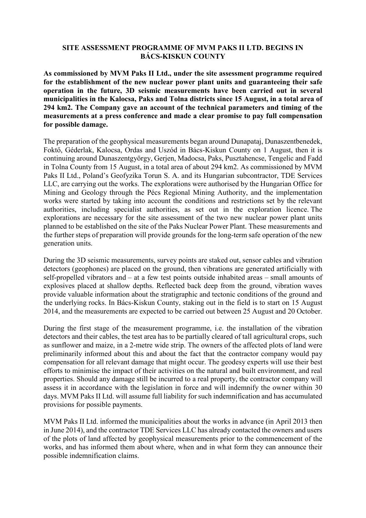## **SITE ASSESSMENT PROGRAMME OF MVM PAKS II LTD. BEGINS IN BÁCS-KISKUN COUNTY**

**As commissioned by MVM Paks II Ltd., under the site assessment programme required for the establishment of the new nuclear power plant units and guaranteeing their safe operation in the future, 3D seismic measurements have been carried out in several municipalities in the Kalocsa, Paks and Tolna districts since 15 August, in a total area of 294 km2. The Company gave an account of the technical parameters and timing of the measurements at a press conference and made a clear promise to pay full compensation for possible damage.**

The preparation of the geophysical measurements began around Dunapataj, Dunaszentbenedek, Foktő, Géderlak, Kalocsa, Ordas and Uszód in Bács-Kiskun County on 1 August, then it is continuing around Dunaszentgyörgy, Gerjen, Madocsa, Paks, Pusztahencse, Tengelic and Fadd in Tolna County from 15 August, in a total area of about 294 km2. As commissioned by MVM Paks II Ltd., Poland's Geofyzika Torun S. A. and its Hungarian subcontractor, TDE Services LLC, are carrying out the works. The explorations were authorised by the Hungarian Office for Mining and Geology through the Pécs Regional Mining Authority, and the implementation works were started by taking into account the conditions and restrictions set by the relevant authorities, including specialist authorities, as set out in the exploration licence. The explorations are necessary for the site assessment of the two new nuclear power plant units planned to be established on the site of the Paks Nuclear Power Plant. These measurements and the further steps of preparation will provide grounds for the long-term safe operation of the new generation units.

During the 3D seismic measurements, survey points are staked out, sensor cables and vibration detectors (geophones) are placed on the ground, then vibrations are generated artificially with self-propelled vibrators and – at a few test points outside inhabited areas – small amounts of explosives placed at shallow depths. Reflected back deep from the ground, vibration waves provide valuable information about the stratigraphic and tectonic conditions of the ground and the underlying rocks. In Bács-Kiskun County, staking out in the field is to start on 15 August 2014, and the measurements are expected to be carried out between 25 August and 20 October.

During the first stage of the measurement programme, i.e. the installation of the vibration detectors and their cables, the test area has to be partially cleared of tall agricultural crops, such as sunflower and maize, in a 2-metre wide strip. The owners of the affected plots of land were preliminarily informed about this and about the fact that the contractor company would pay compensation for all relevant damage that might occur. The geodesy experts will use their best efforts to minimise the impact of their activities on the natural and built environment, and real properties. Should any damage still be incurred to a real property, the contractor company will assess it in accordance with the legislation in force and will indemnify the owner within 30 days. MVM Paks II Ltd. will assume full liability for such indemnification and has accumulated provisions for possible payments.

MVM Paks II Ltd. informed the municipalities about the works in advance (in April 2013 then in June 2014), and the contractor TDE Services LLC has already contacted the owners and users of the plots of land affected by geophysical measurements prior to the commencement of the works, and has informed them about where, when and in what form they can announce their possible indemnification claims.